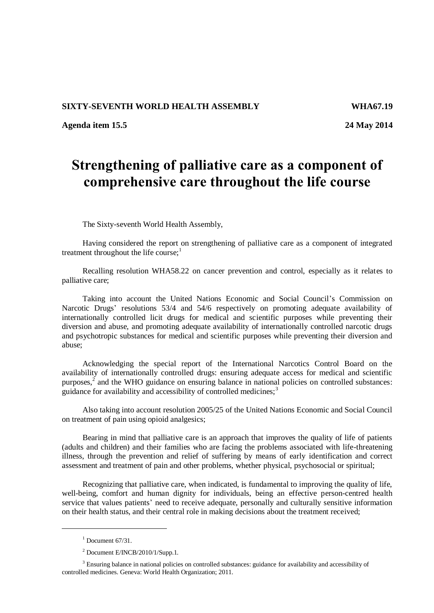**Agenda item 15.5 24 May 2014**

## **Strengthening of palliative care as a component of comprehensive care throughout the life course**

The Sixty-seventh World Health Assembly,

Having considered the report on strengthening of palliative care as a component of integrated treatment throughout the life course; $<sup>1</sup>$ </sup>

Recalling resolution WHA58.22 on cancer prevention and control, especially as it relates to palliative care;

Taking into account the United Nations Economic and Social Council's Commission on Narcotic Drugs' resolutions 53/4 and 54/6 respectively on promoting adequate availability of internationally controlled licit drugs for medical and scientific purposes while preventing their diversion and abuse, and promoting adequate availability of internationally controlled narcotic drugs and psychotropic substances for medical and scientific purposes while preventing their diversion and abuse;

Acknowledging the special report of the International Narcotics Control Board on the availability of internationally controlled drugs: ensuring adequate access for medical and scientific purposes, $\epsilon^2$  and the WHO guidance on ensuring balance in national policies on controlled substances: guidance for availability and accessibility of controlled medicines;<sup>3</sup>

Also taking into account resolution 2005/25 of the United Nations Economic and Social Council on treatment of pain using opioid analgesics;

Bearing in mind that palliative care is an approach that improves the quality of life of patients (adults and children) and their families who are facing the problems associated with life-threatening illness, through the prevention and relief of suffering by means of early identification and correct assessment and treatment of pain and other problems, whether physical, psychosocial or spiritual;

Recognizing that palliative care, when indicated, is fundamental to improving the quality of life, well-being, comfort and human dignity for individuals, being an effective person-centred health service that values patients' need to receive adequate, personally and culturally sensitive information on their health status, and their central role in making decisions about the treatment received;

l

 $1$  Document 67/31.

<sup>2</sup> Document E/INCB/2010/1/Supp.1*.*

<sup>&</sup>lt;sup>3</sup> Ensuring balance in national policies on controlled substances: guidance for availability and accessibility of controlled medicines. Geneva: World Health Organization; 2011.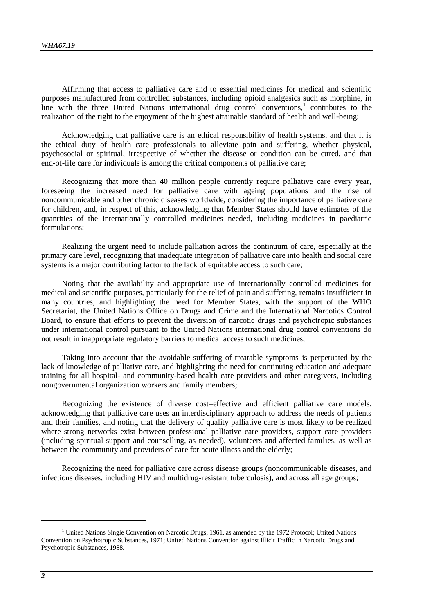Affirming that access to palliative care and to essential medicines for medical and scientific purposes manufactured from controlled substances, including opioid analgesics such as morphine, in line with the three United Nations international drug control conventions,<sup>1</sup> contributes to the realization of the right to the enjoyment of the highest attainable standard of health and well-being;

Acknowledging that palliative care is an ethical responsibility of health systems, and that it is the ethical duty of health care professionals to alleviate pain and suffering, whether physical, psychosocial or spiritual, irrespective of whether the disease or condition can be cured, and that end-of-life care for individuals is among the critical components of palliative care;

Recognizing that more than 40 million people currently require palliative care every year, foreseeing the increased need for palliative care with ageing populations and the rise of noncommunicable and other chronic diseases worldwide, considering the importance of palliative care for children, and, in respect of this, acknowledging that Member States should have estimates of the quantities of the internationally controlled medicines needed, including medicines in paediatric formulations;

Realizing the urgent need to include palliation across the continuum of care, especially at the primary care level, recognizing that inadequate integration of palliative care into health and social care systems is a major contributing factor to the lack of equitable access to such care;

Noting that the availability and appropriate use of internationally controlled medicines for medical and scientific purposes, particularly for the relief of pain and suffering, remains insufficient in many countries, and highlighting the need for Member States, with the support of the WHO Secretariat, the United Nations Office on Drugs and Crime and the International Narcotics Control Board, to ensure that efforts to prevent the diversion of narcotic drugs and psychotropic substances under international control pursuant to the United Nations international drug control conventions do not result in inappropriate regulatory barriers to medical access to such medicines;

Taking into account that the avoidable suffering of treatable symptoms is perpetuated by the lack of knowledge of palliative care, and highlighting the need for continuing education and adequate training for all hospital- and community-based health care providers and other caregivers, including nongovernmental organization workers and family members;

Recognizing the existence of diverse cost–effective and efficient palliative care models, acknowledging that palliative care uses an interdisciplinary approach to address the needs of patients and their families, and noting that the delivery of quality palliative care is most likely to be realized where strong networks exist between professional palliative care providers, support care providers (including spiritual support and counselling, as needed), volunteers and affected families, as well as between the community and providers of care for acute illness and the elderly;

Recognizing the need for palliative care across disease groups (noncommunicable diseases, and infectious diseases, including HIV and multidrug-resistant tuberculosis), and across all age groups;

-

<sup>&</sup>lt;sup>1</sup> United Nations Single Convention on Narcotic Drugs, 1961, as amended by the 1972 Protocol; United Nations Convention on Psychotropic Substances, 1971; United Nations Convention against Illicit Traffic in Narcotic Drugs and Psychotropic Substances, 1988.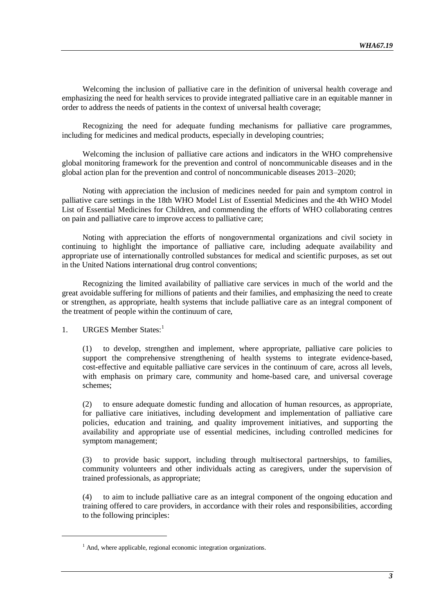Welcoming the inclusion of palliative care in the definition of universal health coverage and emphasizing the need for health services to provide integrated palliative care in an equitable manner in order to address the needs of patients in the context of universal health coverage;

Recognizing the need for adequate funding mechanisms for palliative care programmes, including for medicines and medical products, especially in developing countries;

Welcoming the inclusion of palliative care actions and indicators in the WHO comprehensive global monitoring framework for the prevention and control of noncommunicable diseases and in the global action plan for the prevention and control of noncommunicable diseases 2013–2020;

Noting with appreciation the inclusion of medicines needed for pain and symptom control in palliative care settings in the 18th WHO Model List of Essential Medicines and the 4th WHO Model List of Essential Medicines for Children, and commending the efforts of WHO collaborating centres on pain and palliative care to improve access to palliative care;

Noting with appreciation the efforts of nongovernmental organizations and civil society in continuing to highlight the importance of palliative care, including adequate availability and appropriate use of internationally controlled substances for medical and scientific purposes, as set out in the United Nations international drug control conventions;

Recognizing the limited availability of palliative care services in much of the world and the great avoidable suffering for millions of patients and their families, and emphasizing the need to create or strengthen, as appropriate, health systems that include palliative care as an integral component of the treatment of people within the continuum of care,

1. **IRGES Member States:**<sup>1</sup>

l

(1) to develop, strengthen and implement, where appropriate, palliative care policies to support the comprehensive strengthening of health systems to integrate evidence-based, cost-effective and equitable palliative care services in the continuum of care, across all levels, with emphasis on primary care, community and home-based care, and universal coverage schemes;

(2) to ensure adequate domestic funding and allocation of human resources, as appropriate, for palliative care initiatives, including development and implementation of palliative care policies, education and training, and quality improvement initiatives, and supporting the availability and appropriate use of essential medicines, including controlled medicines for symptom management;

(3) to provide basic support, including through multisectoral partnerships, to families, community volunteers and other individuals acting as caregivers, under the supervision of trained professionals, as appropriate;

(4) to aim to include palliative care as an integral component of the ongoing education and training offered to care providers, in accordance with their roles and responsibilities, according to the following principles:

 $<sup>1</sup>$  And, where applicable, regional economic integration organizations.</sup>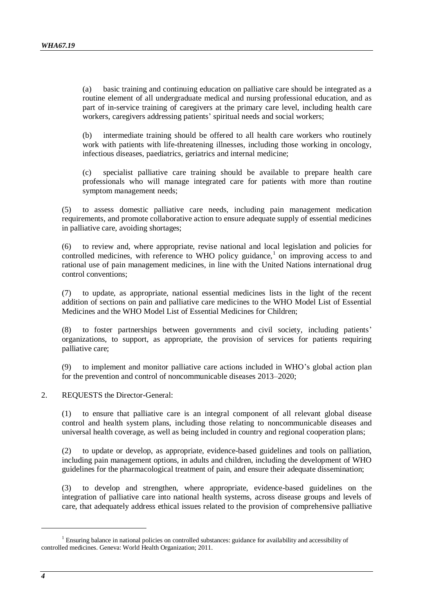(a) basic training and continuing education on palliative care should be integrated as a routine element of all undergraduate medical and nursing professional education, and as part of in-service training of caregivers at the primary care level, including health care workers, caregivers addressing patients' spiritual needs and social workers;

(b) intermediate training should be offered to all health care workers who routinely work with patients with life-threatening illnesses, including those working in oncology, infectious diseases, paediatrics, geriatrics and internal medicine;

(c) specialist palliative care training should be available to prepare health care professionals who will manage integrated care for patients with more than routine symptom management needs;

(5) to assess domestic palliative care needs, including pain management medication requirements, and promote collaborative action to ensure adequate supply of essential medicines in palliative care, avoiding shortages;

(6) to review and, where appropriate, revise national and local legislation and policies for controlled medicines, with reference to WHO policy guidance,<sup>1</sup> on improving access to and rational use of pain management medicines, in line with the United Nations international drug control conventions;

(7) to update, as appropriate, national essential medicines lists in the light of the recent addition of sections on pain and palliative care medicines to the WHO Model List of Essential Medicines and the WHO Model List of Essential Medicines for Children;

(8) to foster partnerships between governments and civil society, including patients' organizations, to support, as appropriate, the provision of services for patients requiring palliative care;

(9) to implement and monitor palliative care actions included in WHO's global action plan for the prevention and control of noncommunicable diseases 2013–2020;

2. REQUESTS the Director-General:

(1) to ensure that palliative care is an integral component of all relevant global disease control and health system plans, including those relating to noncommunicable diseases and universal health coverage, as well as being included in country and regional cooperation plans;

(2) to update or develop, as appropriate, evidence-based guidelines and tools on palliation, including pain management options, in adults and children, including the development of WHO guidelines for the pharmacological treatment of pain, and ensure their adequate dissemination;

(3) to develop and strengthen, where appropriate, evidence-based guidelines on the integration of palliative care into national health systems, across disease groups and levels of care, that adequately address ethical issues related to the provision of comprehensive palliative

1

<sup>&</sup>lt;sup>1</sup> Ensuring balance in national policies on controlled substances: guidance for availability and accessibility of controlled medicines. Geneva: World Health Organization; 2011.